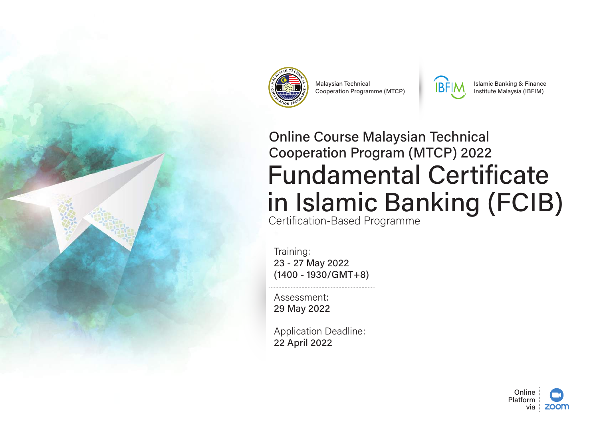



**Malaysian Technical Cooperation Programme (MTCP)** 



**Islamic Banking & Finance** Institute Malaysia (IBFIM)

# **Online Course Malaysian Technical Cooperation Program (MTCP) 2022 Fundamental Certificate** in Islamic Banking (FCIB) Certification-Based Programme

Training: 23 - 27 May 2022  $(1400 - 1930/GMT + 8)$ 

Assessment: 29 May 2022

**Application Deadline:** 22 April 2022

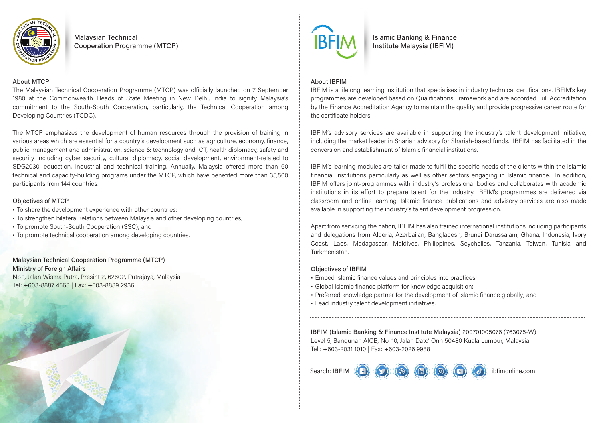

**Malaysian Technical Cooperation Programme (MTCP)** 

#### **About MTCP**

The Malaysian Technical Cooperation Programme (MTCP) was officially launched on 7 September 1980 at the Commonwealth Heads of State Meeting in New Delhi, India to signify Malaysia's commitment to the South-South Cooperation, particularly, the Technical Cooperation among Developing Countries (TCDC).

The MTCP emphasizes the development of human resources through the provision of training in various areas which are essential for a country's development such as agriculture, economy, finance, public management and administration, science & technology and ICT, health diplomacy, safety and security including cyber security, cultural diplomacy, social development, environment-related to SDG2030, education, industrial and technical training, Annually, Malaysia offered more than 60 technical and capacity-building programs under the MTCP, which have benefited more than 35,500 participants from 144 countries.

#### **Objectives of MTCP**

- To share the development experience with other countries;
- · To strengthen bilateral relations between Malaysia and other developing countries;
- To promote South-South Cooperation (SSC); and
- To promote technical cooperation among developing countries.

## **Malaysian Technical Cooperation Programme (MTCP) Ministry of Foreign Affairs**

No 1, Jalan Wisma Putra, Presint 2, 62602, Putrajaya, Malaysia Tel: +603-8887 4563 | Fax: +603-8889 2936





**Islamic Banking & Finance** Institute Malaysia (IBFIM)

#### **About IBFIM**

IBFIM is a lifelong learning institution that specialises in industry technical certifications. IBFIM's key programmes are developed based on Qualifications Framework and are accorded Full Accreditation by the Finance Accreditation Agency to maintain the quality and provide progressive career route for the certificate holders.

IBFIM's advisory services are available in supporting the industry's talent development initiative. including the market leader in Shariah advisory for Shariah-based funds. IBFIM has facilitated in the conversion and establishment of Islamic financial institutions.

IBFIM's learning modules are tailor-made to fulfil the specific needs of the clients within the Islamic financial institutions particularly as well as other sectors engaging in Islamic finance. In addition, IBFIM offers joint-programmes with industry's professional bodies and collaborates with academic institutions in its effort to prepare talent for the industry. IBFIM's programmes are delivered via classroom and online learning. Islamic finance publications and advisory services are also made available in supporting the industry's talent development progression.

Apart from servicing the nation, IBFIM has also trained international institutions including participants and delegations from Algeria, Azerbaijan, Bangladesh, Brunei Darussalam, Ghana, Indonesia, Ivory Coast, Laos, Madagascar, Maldives, Philippines, Sevchelles, Tanzania, Taiwan, Tunisia and Turkmenistan.

#### **Obiectives of IBFIM**

- · Embed Islamic finance values and principles into practices;
- · Global Islamic finance platform for knowledge acquisition;
- Preferred knowledge partner for the development of Islamic finance globally; and
- Lead industry talent development initiatives.

IBFIM (Islamic Banking & Finance Institute Malaysia) 200701005076 (763075-W) Level 5, Bangunan AICB, No. 10, Jalan Dato' Onn 50480 Kuala Lumpur, Malaysia Tel: +603-2031 1010 | Fax: +603-2026 9988

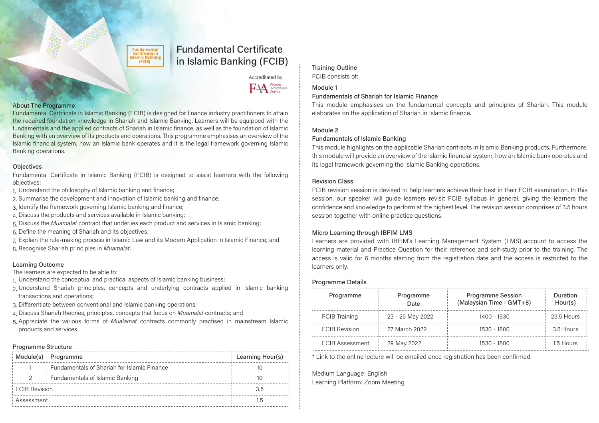**Fundamental** Certificate in **Islamic Bankins**  $(FCIB)$ 

## **Fundamental Certificate** in Islamic Banking (FCIB)

Accreditated by



#### **About The Programme**

Fundamental Certificate in Islamic Banking (FCIB) is designed for finance industry practitioners to attain the required foundation knowledge in Shariah and Islamic Banking. Learners will be equipped with the fundamentals and the applied contracts of Shariah in Islamic finance, as well as the foundation of Islamic Banking with an overview of its products and operations. This programme emphasises an overview of the Islamic financial system, how an Islamic bank operates and it is the legal framework governing Islamic Banking operations.

#### **Objectives**

Fundamental Certificate in Islamic Banking (FCIB) is designed to assist learners with the following objectives:

- 1. Understand the philosophy of Islamic banking and finance;
- 2. Summarise the development and innovation of Islamic banking and finance;
- 3. Identify the framework governing Islamic banking and finance;
- 4. Discuss the products and services available in Islamic banking;
- 5. Discuss the Muamalat contract that underlies each product and services in Islamic banking;
- 6. Define the meaning of Shariah and its objectives;
- 7. Explain the rule-making process in Islamic Law and its Modern Application in Islamic Finance; and 8. Recognise Shariah principles in Muamalat.

#### **Learning Outcome**

The learners are expected to be able to:

- 1. Understand the conceptual and practical aspects of Islamic banking business;
- 2. Understand Shariah principles, concepts and underlying contracts applied in Islamic banking transactions and operations;
- 3. Differentiate between conventional and Islamic banking operations;
- 4. Discuss Shariah theories, principles, concepts that focus on Muamalat contracts; and
- 5. Appreciate the various forms of Mualamat contracts commonly practised in mainstream Islamic products and services.

#### Programme Structure

|                      | Module(s) Programme                                | Learning Hour(s) |
|----------------------|----------------------------------------------------|------------------|
|                      | <b>Fundamentals of Shariah for Islamic Finance</b> |                  |
|                      | Fundamentals of Islamic Banking                    | ТU               |
| <b>FCIB</b> Revision |                                                    | 3.5              |
| Assessment           |                                                    | 1.5              |

### **Training Outline**

FCIB consists of:

#### Module 1

#### **Fundamentals of Shariah for Islamic Finance**

This module emphasises on the fundamental concepts and principles of Shariah. This module elaborates on the application of Shariah in Islamic finance.

#### Module 2

#### **Fundamentals of Islamic Banking**

This module highlights on the applicable Shariah contracts in Islamic Banking products. Furthermore, this module will provide an overview of the Islamic financial system, how an Islamic bank operates and its legal framework governing the Islamic Banking operations.

#### **Revision Class**

FCIB revision session is devised to help learners achieve their best in their FCIB examination. In this session, our speaker will guide learners revisit FCIB syllabus in general, giving the learners the confidence and knowledge to perform at the highest level. The revision session comprises of 3.5 hours session together with online practice questions.

#### Micro Learning through IBFIM LMS

Learners are provided with IBFIM's Learning Management System (LMS) account to access the learning material and Practice Question for their reference and self-study prior to the training. The access is valid for 6 months starting from the registration date and the access is restricted to the learners only.

#### **Programme Details**

| Programme              | Programme<br>Date | <b>Programme Session</b><br>(Malaysian Time - GMT+8) | Duration<br>Hour(s) |
|------------------------|-------------------|------------------------------------------------------|---------------------|
| <b>FCIB Training</b>   | 23 - 26 May 2022  | 1400 - 1930                                          | 23.5 Hours          |
| <b>FCIB Revision</b>   | 27 March 2022     | 1530 - 1800                                          | 3.5 Hours           |
| <b>FCIB Assessment</b> | 29 May 2022       | 1530 - 1800                                          | 1.5 Hours           |

\* Link to the online lecture will be emailed once registration has been confirmed.

Medium Language: English Learning Platform: Zoom Meeting